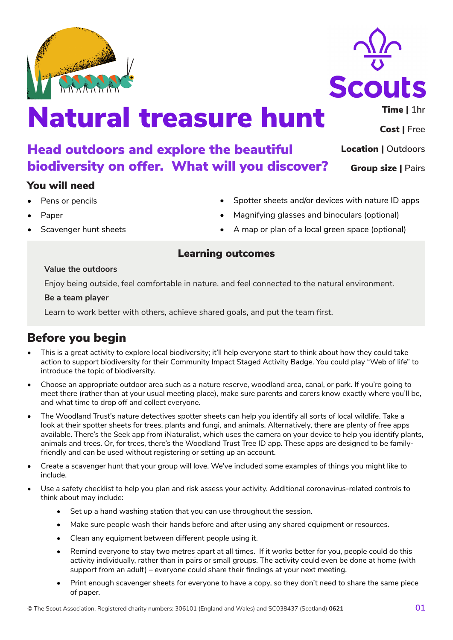# Natural treasure hunt

#### Head outdoors and explore the beautiful biodiversity on offer. What will you discover? Group size | **Pairs**

## You will need

- Pens or pencils
- Paper
- Scavenger hunt sheets
- Spotter sheets and/or devices with nature ID apps
- Magnifying glasses and binoculars (optional)
- A map or plan of a local green space (optional)

## Learning outcomes

#### **Value the outdoors**

Enjoy being outside, feel comfortable in nature, and feel connected to the natural environment.

#### **Be a team player**

Learn to work better with others, achieve shared goals, and put the team first.

# Before you begin

- This is a great activity to explore local biodiversity; it'll help everyone start to think about how they could take action to support biodiversity for their Community Impact Staged Activity Badge. You could play "Web of life" to introduce the topic of biodiversity.
- Choose an appropriate outdoor area such as a nature reserve, woodland area, canal, or park. If you're going to meet there (rather than at your usual meeting place), make sure parents and carers know exactly where you'll be, and what time to drop off and collect everyone.
- The Woodland Trust's nature detectives spotter sheets can help you identify all sorts of local wildlife. Take a look at their spotter sheets for trees, plants and fungi, and animals. Alternatively, there are plenty of free apps available. There's the Seek app from iNaturalist, which uses the camera on your device to help you identify plants, animals and trees. Or, for trees, there's the Woodland Trust Tree ID app. These apps are designed to be familyfriendly and can be used without registering or setting up an account.
- Create a scavenger hunt that your group will love. We've included some examples of things you might like to include.
- Use a safety checklist to help you plan and risk assess your activity. Additional coronavirus-related controls to think about may include:
	- Set up a hand washing station that you can use throughout the session.
	- Make sure people wash their hands before and after using any shared equipment or resources.
	- Clean any equipment between different people using it.
	- Remind everyone to stay two metres apart at all times. If it works better for you, people could do this activity individually, rather than in pairs or small groups. The activity could even be done at home (with support from an adult) – everyone could share their findings at your next meeting.
	- Print enough scavenger sheets for everyone to have a copy, so they don't need to share the same piece of paper.





Time | **1hr**

Cost | **Free**

Location | **Outdoors**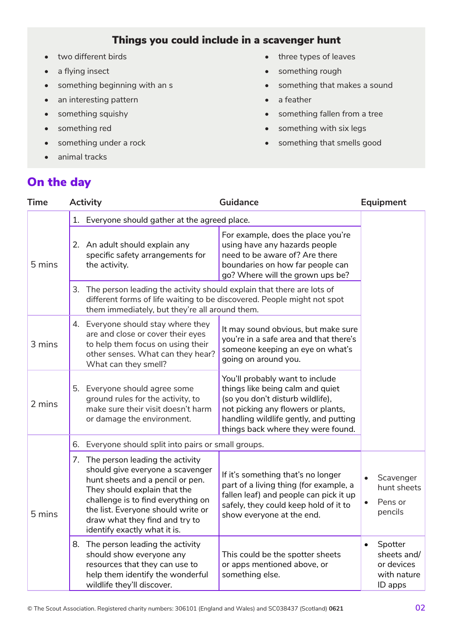# Things you could include in a scavenger hunt

- two different birds
- a flying insect
- something beginning with an s
- an interesting pattern
- something squishy
- something red
- something under a rock
- animal tracks
- three types of leaves
- something rough
- something that makes a sound
- a feather
- something fallen from a tree
- something with six legs
- something that smells good

# On the day

| <b>Time</b> |    | <b>Activity</b>                                                                                                                                                                                                                                                                          | Guidance                                                                                                                                                                                                                     |                        | <b>Equipment</b>                                               |  |
|-------------|----|------------------------------------------------------------------------------------------------------------------------------------------------------------------------------------------------------------------------------------------------------------------------------------------|------------------------------------------------------------------------------------------------------------------------------------------------------------------------------------------------------------------------------|------------------------|----------------------------------------------------------------|--|
| 5 mins      | 1. | Everyone should gather at the agreed place.                                                                                                                                                                                                                                              |                                                                                                                                                                                                                              |                        |                                                                |  |
|             |    | 2. An adult should explain any<br>specific safety arrangements for<br>the activity.                                                                                                                                                                                                      | For example, does the place you're<br>using have any hazards people<br>need to be aware of? Are there<br>boundaries on how far people can<br>go? Where will the grown ups be?                                                |                        |                                                                |  |
|             |    | 3. The person leading the activity should explain that there are lots of<br>different forms of life waiting to be discovered. People might not spot<br>them immediately, but they're all around them.                                                                                    |                                                                                                                                                                                                                              |                        |                                                                |  |
| 3 mins      |    | 4. Everyone should stay where they<br>are and close or cover their eyes<br>to help them focus on using their<br>other senses. What can they hear?<br>What can they smell?                                                                                                                | It may sound obvious, but make sure<br>you're in a safe area and that there's<br>someone keeping an eye on what's<br>going on around you.                                                                                    |                        |                                                                |  |
| 2 mins      |    | 5. Everyone should agree some<br>ground rules for the activity, to<br>make sure their visit doesn't harm<br>or damage the environment.                                                                                                                                                   | You'll probably want to include<br>things like being calm and quiet<br>(so you don't disturb wildlife),<br>not picking any flowers or plants,<br>handling wildlife gently, and putting<br>things back where they were found. |                        |                                                                |  |
| 5 mins      | 6. | Everyone should split into pairs or small groups.                                                                                                                                                                                                                                        |                                                                                                                                                                                                                              |                        |                                                                |  |
|             |    | 7. The person leading the activity<br>should give everyone a scavenger<br>hunt sheets and a pencil or pen.<br>They should explain that the<br>challenge is to find everything on<br>the list. Everyone should write or<br>draw what they find and try to<br>identify exactly what it is. | If it's something that's no longer<br>part of a living thing (for example, a<br>fallen leaf) and people can pick it up<br>safely, they could keep hold of it to<br>show everyone at the end.                                 | $\bullet$<br>$\bullet$ | Scavenger<br>hunt sheets<br>Pens or<br>pencils                 |  |
|             |    | 8. The person leading the activity<br>should show everyone any<br>resources that they can use to<br>help them identify the wonderful<br>wildlife they'll discover.                                                                                                                       | This could be the spotter sheets<br>or apps mentioned above, or<br>something else.                                                                                                                                           |                        | Spotter<br>sheets and/<br>or devices<br>with nature<br>ID apps |  |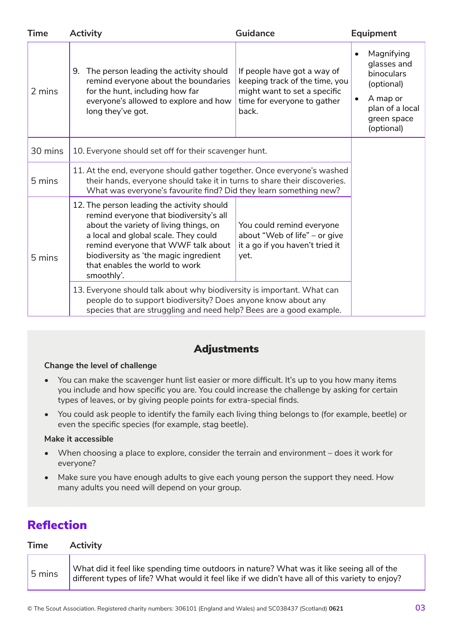| <b>Time</b> | <b>Activity</b><br><b>Guidance</b>                                                                                                                                                                                                                                                                      |                                                                                                                                       | <b>Equipment</b>                                                                                                               |
|-------------|---------------------------------------------------------------------------------------------------------------------------------------------------------------------------------------------------------------------------------------------------------------------------------------------------------|---------------------------------------------------------------------------------------------------------------------------------------|--------------------------------------------------------------------------------------------------------------------------------|
| 2 mins      | The person leading the activity should<br>9.<br>remind everyone about the boundaries<br>for the hunt, including how far<br>everyone's allowed to explore and how<br>long they've got.                                                                                                                   | If people have got a way of<br>keeping track of the time, you<br>might want to set a specific<br>time for everyone to gather<br>back. | Magnifying<br>$\bullet$<br>glasses and<br>binoculars<br>(optional)<br>A map or<br>plan of a local<br>green space<br>(optional) |
| 30 mins     | 10. Everyone should set off for their scavenger hunt.                                                                                                                                                                                                                                                   |                                                                                                                                       |                                                                                                                                |
| 5 mins      | 11. At the end, everyone should gather together. Once everyone's washed<br>their hands, everyone should take it in turns to share their discoveries.<br>What was everyone's favourite find? Did they learn something new?                                                                               |                                                                                                                                       |                                                                                                                                |
| 5 mins      | 12. The person leading the activity should<br>remind everyone that biodiversity's all<br>about the variety of living things, on<br>a local and global scale. They could<br>remind everyone that WWF talk about<br>biodiversity as 'the magic ingredient<br>that enables the world to work<br>smoothly'. | You could remind everyone<br>about "Web of life" - or give<br>it a go if you haven't tried it<br>yet.                                 |                                                                                                                                |
|             | 13. Everyone should talk about why biodiversity is important. What can<br>people do to support biodiversity? Does anyone know about any<br>species that are struggling and need help? Bees are a good example.                                                                                          |                                                                                                                                       |                                                                                                                                |

## Adjustments

#### **Change the level of challenge**

- You can make the scavenger hunt list easier or more difficult. It's up to you how many items you include and how specific you are. You could increase the challenge by asking for certain types of leaves, or by giving people points for extra-special finds.
- You could ask people to identify the family each living thing belongs to (for example, beetle) or even the specific species (for example, stag beetle).

#### **Make it accessible**

- When choosing a place to explore, consider the terrain and environment does it work for everyone?
- Make sure you have enough adults to give each young person the support they need. How many adults you need will depend on your group.

# Reflection

| <b>Time</b> | <b>Activity</b>                                                                                                                                                                                |  |  |
|-------------|------------------------------------------------------------------------------------------------------------------------------------------------------------------------------------------------|--|--|
| 5 mins      | What did it feel like spending time outdoors in nature? What was it like seeing all of the<br>different types of life? What would it feel like if we didn't have all of this variety to enjoy? |  |  |